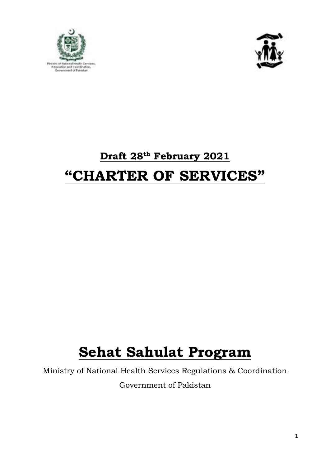



## **Draft 28 th February 2021**

## **"CHARTER OF SERVICES"**

# **Sehat Sahulat Program**

Ministry of National Health Services Regulations & Coordination Government of Pakistan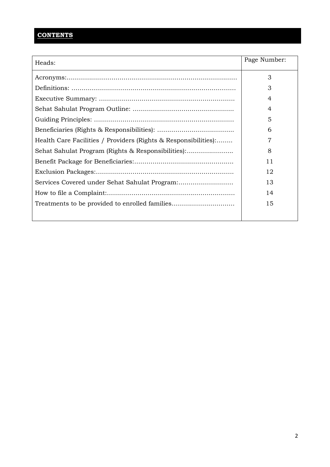### **CONTENTS**

| Heads:                                                          | Page Number: |
|-----------------------------------------------------------------|--------------|
|                                                                 | 3            |
|                                                                 | 3            |
|                                                                 | 4            |
|                                                                 | 4            |
|                                                                 | 5            |
|                                                                 | 6            |
| Health Care Facilities / Providers (Rights & Responsibilities): | 7            |
| Sehat Sahulat Program (Rights & Responsibilities):              | 8            |
|                                                                 | 11           |
|                                                                 | 12           |
| Services Covered under Sehat Sahulat Program:                   | 13           |
|                                                                 | 14           |
|                                                                 | 15           |
|                                                                 |              |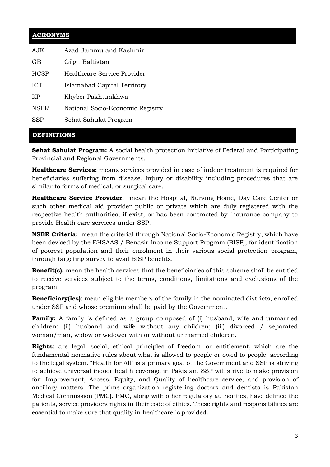#### **ACRONYMS**

| AJK         | Azad Jammu and Kashmir           |
|-------------|----------------------------------|
| GB          | Gilgit Baltistan                 |
| <b>HCSP</b> | Healthcare Service Provider      |
| <b>ICT</b>  | Islamabad Capital Territory      |
| KP          | Khyber Pakhtunkhwa               |
| <b>NSER</b> | National Socio-Economic Registry |
| SSP         | Sehat Sahulat Program            |

#### **DEFINITIONS**

**Sehat Sahulat Program:** A social health protection initiative of Federal and Participating Provincial and Regional Governments.

**Healthcare Services:** means services provided in case of indoor treatment is required for beneficiaries suffering from disease, injury or disability including procedures that are similar to forms of medical, or surgical care.

**Healthcare Service Provider**: mean the Hospital, Nursing Home, Day Care Center or such other medical aid provider public or private which are duly registered with the respective health authorities, if exist, or has been contracted by insurance company to provide Health care services under SSP.

**NSER Criteria:** mean the criterial through National Socio-Economic Registry, which have been devised by the EHSAAS / Benazir Income Support Program (BISP), for identification of poorest population and their enrolment in their various social protection program, through targeting survey to avail BISP benefits.

**Benefit(s):** mean the health services that the beneficiaries of this scheme shall be entitled to receive services subject to the terms, conditions, limitations and exclusions of the program.

**Beneficiary(ies)**: mean eligible members of the family in the nominated districts, enrolled under SSP and whose premium shall be paid by the Government.

**Family:** A family is defined as a group composed of (i) husband, wife and unmarried children; (ii) husband and wife without any children; (iii) divorced / separated woman/man, widow or widower with or without unmarried children.

**Rights**: are legal, social, ethical principles of freedom or entitlement, which are the fundamental normative rules about what is allowed to people or owed to people, according to the legal system. "Health for All" is a primary goal of the Government and SSP is striving to achieve universal indoor health coverage in Pakistan. SSP will strive to make provision for: Improvement, Access, Equity, and Quality of healthcare service, and provision of ancillary matters. The prime organization registering doctors and dentists is Pakistan Medical Commission (PMC). PMC, along with other regulatory authorities, have defined the patients, service providers rights in their code of ethics. These rights and responsibilities are essential to make sure that quality in healthcare is provided.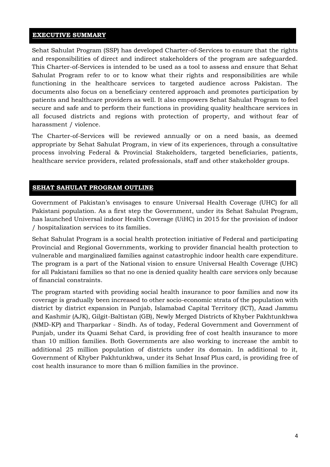#### **EXECUTIVE SUMMARY**

Sehat Sahulat Program (SSP) has developed Charter-of-Services to ensure that the rights and responsibilities of direct and indirect stakeholders of the program are safeguarded. This Charter-of-Services is intended to be used as a tool to assess and ensure that Sehat Sahulat Program refer to or to know what their rights and responsibilities are while functioning in the healthcare services to targeted audience across Pakistan. The documents also focus on a beneficiary centered approach and promotes participation by patients and healthcare providers as well. It also empowers Sehat Sahulat Program to feel secure and safe and to perform their functions in providing quality healthcare services in all focused districts and regions with protection of property, and without fear of harassment / violence.

The Charter-of-Services will be reviewed annually or on a need basis, as deemed appropriate by Sehat Sahulat Program, in view of its experiences, through a consultative process involving Federal & Provincial Stakeholders, targeted beneficiaries, patients, healthcare service providers, related professionals, staff and other stakeholder groups.

#### **SEHAT SAHULAT PROGRAM OUTLINE**

Government of Pakistan's envisages to ensure Universal Health Coverage (UHC) for all Pakistani population. As a first step the Government, under its Sehat Sahulat Program, has launched Universal indoor Health Coverage (UiHC) in 2015 for the provision of indoor / hospitalization services to its families.

Sehat Sahulat Program is a social health protection initiative of Federal and participating Provincial and Regional Governments, working to provider financial health protection to vulnerable and marginalized families against catastrophic indoor health care expenditure. The program is a part of the National vision to ensure Universal Health Coverage (UHC) for all Pakistani families so that no one is denied quality health care services only because of financial constraints.

The program started with providing social health insurance to poor families and now its coverage is gradually been increased to other socio-economic strata of the population with district by district expansion in Punjab, Islamabad Capital Territory (ICT), Azad Jammu and Kashmir (AJK), Gilgit-Baltistan (GB), Newly Merged Districts of Khyber Pakhtunkhwa (NMD-KP) and Tharparkar - Sindh. As of today, Federal Government and Government of Punjab, under its Quami Sehat Card, is providing free of cost health insurance to more than 10 million families. Both Governments are also working to increase the ambit to additional 25 million population of districts under its domain. In additional to it, Government of Khyber Pakhtunkhwa, under its Sehat Insaf Plus card, is providing free of cost health insurance to more than 6 million families in the province.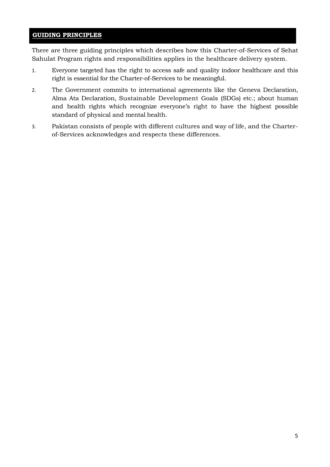#### **GUIDING PRINCIPLES**

There are three guiding principles which describes how this Charter-of-Services of Sehat Sahulat Program rights and responsibilities applies in the healthcare delivery system.

- 1. Everyone targeted has the right to access safe and quality indoor healthcare and this right is essential for the Charter-of-Services to be meaningful.
- 2. The Government commits to international agreements like the Geneva Declaration, Alma Ata Declaration, Sustainable Development Goals (SDGs) etc.; about human and health rights which recognize everyone's right to have the highest possible standard of physical and mental health.
- 3. Pakistan consists of people with different cultures and way of life, and the Charterof-Services acknowledges and respects these differences.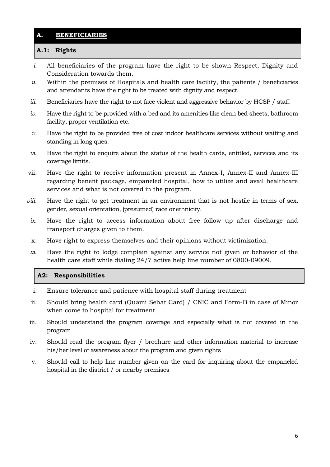#### **A. BENEFICIARIES**

#### **A.1: Rights**

- *i.* All beneficiaries of the program have the right to be shown Respect, Dignity and Consideration towards them*.*
- *ii.* Within the premises of Hospitals and health care facility, the patients / beneficiaries and attendants have the right to be treated with dignity and respect.
- *iii.* Beneficiaries have the right to not face violent and aggressive behavior by HCSP / staff.
- *iv.* Have the right to be provided with a bed and its amenities like clean bed sheets, bathroom facility, proper ventilation etc.
- *v.* Have the right to be provided free of cost indoor healthcare services without waiting and standing in long ques.
- *vi.* Have the right to enquire about the status of the health cards, entitled, services and its coverage limits.
- vii. Have the right to receive information present in Annex-I, Annex-II and Annex-III regarding benefit package, empaneled hospital, how to utilize and avail healthcare services and what is not covered in the program.
- *viii.* Have the right to get treatment in an environment that is not hostile in terms of sex, gender, sexual orientation, (presumed) race or ethnicity.
- *ix.* Have the right to access information about free follow up after discharge and transport charges given to them.
- x. Have right to express themselves and their opinions without victimization.
- *xi.* Have the right to lodge complain against any service not given or behavior of the health care staff while dialing 24/7 active help line number of 0800-09009.

#### **A2: Responsibilities**

- i. Ensure tolerance and patience with hospital staff during treatment
- ii. Should bring health card (Quami Sehat Card) / CNIC and Form-B in case of Minor when come to hospital for treatment
- iii. Should understand the program coverage and especially what is not covered in the program
- iv. Should read the program flyer / brochure and other information material to increase his/her level of awareness about the program and given rights
- v. Should call to help line number given on the card for inquiring about the empaneled hospital in the district / or nearby premises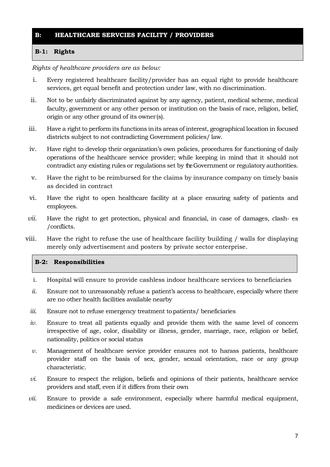#### **B: HEALTHCARE SERVCIES FACILITY / PROVIDERS**

#### **B-1: Rights**

*Rights of healthcare providers are as below:*

- i. Every registered healthcare facility/provider has an equal right to provide healthcare services, get equal benefit and protection under law, with no discrimination.
- ii. Not to be unfairly discriminated against by any agency, patient, medical scheme, medical faculty, government or any other person or institution on the basis of race, religion, belief, origin or any other ground of its owner(s).
- iii. Have a right to perform its functions inits areas of interest, geographical location in focused districts subject to not contradicting Government policies/ law.
- iv. Have right to develop their organization's own policies, procedures for functioning of daily operations of the healthcare service provider; while keeping in mind that it should not contradict any existing rules or regulations set by theGovernment or regulatory authorities.
- v. Have the right to be reimbursed for the claims by insurance company on timely basis as decided in contract
- vi. Have the right to open healthcare facility at a place ensuring safety of patients and employees.
- *vii.* Have the right to get protection, physical and financial, in case of damages, clash- es /conflicts.
- viii. Have the right to refuse the use of healthcare facility building / walls for displaying merely only advertisement and posters by private sector enterprise.

#### **B-2: Responsibilities**

- i. Hospital will ensure to provide cashless indoor healthcare services to beneficiaries
- *ii.* Ensure not to unreasonably refuse a patient's access to healthcare, especially where there are no other health facilities available nearby
- *iii.* Ensure not to refuse emergency treatment topatients/ beneficiaries
- *iv.* Ensure to treat all patients equally and provide them with the same level of concern irrespective of age, color, disability or illness, gender, marriage, race, religion or belief, nationality, politics or social status
- *v.* Management of healthcare service provider ensures not to harass patients, healthcare provider staff on the basis of sex, gender, sexual orientation, race or any group characteristic.
- *vi.* Ensure to respect the religion, beliefs and opinions of their patients, healthcare service providers and staff, even if it differs from their own
- *vii.* Ensure to provide a safe environment, especially where harmful medical equipment, medicines or devices are used.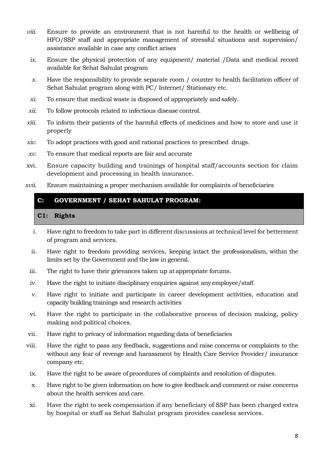- *viii.* Ensure to provide an environment that is not harmful to the health or wellbeing of HFO/SSP staff and appropriate management of stressful situations and supervision/ assistance available in case any conflict arises
	- *ix.* Ensure the physical protection of any equipment/ material /Data and medical record available for Sehat Sahulat program
	- *x.* Have the responsibility to provide separate room / counter to health facilitation officer of Sehat Sahulat program along with PC/ Internet/ Stationary etc.
- *xi.* To ensure that medical waste is disposed of appropriately andsafely.
- *xii.* To follow protocols related to infectious disease control.
- *xiii.* To inform their patients of the harmful effects of medicines and how to store and use it properly
- *xiv.* To adopt practices with good and rational practices to prescribed drugs.
- *xv.* To ensure that medical reports are fair and accurate
- xvi. Ensure capacity building and trainings of hospital staff/accounts section for claim development and processing in health insurance.
- *xvii.* Ensure maintaining a proper mechanism available for complaints of beneficiaries

#### **C: GOVERNMENT / SEHAT SAHULAT PROGRAM:**

#### **C1: Rights**

- i. Have right to freedom to take part in different discussions at technical level for betterment of program and services.
- ii. Have right to freedom providing services, keeping intact the professionalism, within the limits set by the Government and the law in general.
- iii. The right to have their grievances taken up atappropriate forums.
- iv. Have the right to initiate disciplinary enquiries against any employee/staff.
- v. Have right to initiate and participate in career development activities, education and capacity building trainings and research activities
- vi. Have the right to participate in the collaborative process of decision making, policy making and political choices.
- vii. Have right to privacy of information regarding data of beneficiaries
- viii. Have the right to pass any feedback, suggestions and raise concerns or complaints to the without any fear of revenge and harassment by Health Care Service Provider/ insurance company etc.
- ix. Have the right to be aware of procedures of complaints and resolution of disputes.
- x. Have right to be given information on how to give feedback and comment or raise concerns about the health services and care.
- xi. Have the right to seek compensation if any beneficiary of SSP has been charged extra by hospital or staff as Sehat Sahulat program provides caseless services.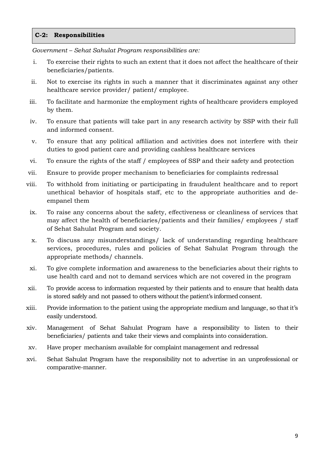#### **C-2: Responsibilities**

*Government – Sehat Sahulat Program responsibilities are:*

- i. To exercise their rights to such an extent that it does not affect the healthcare of their beneficiaries/patients.
- ii. Not to exercise its rights in such a manner that it discriminates against any other healthcare service provider/ patient/ employee.
- iii. To facilitate and harmonize the employment rights of healthcare providers employed by them.
- iv. To ensure that patients will take part in any research activity by SSP with their full and informed consent.
- v. To ensure that any political affiliation and activities does not interfere with their duties to good patient care and providing cashless healthcare services
- vi. To ensure the rights of the staff / employees of SSP and their safety and protection
- vii. Ensure to provide proper mechanism to beneficiaries for complaints redressal
- viii. To withhold from initiating or participating in fraudulent healthcare and to report unethical behavior of hospitals staff, etc to the appropriate authorities and deempanel them
- ix. To raise any concerns about the safety, effectiveness or cleanliness of services that may affect the health of beneficiaries/patients and their families/ employees / staff of Sehat Sahulat Program and society.
- x. To discuss any misunderstandings/ lack of understanding regarding healthcare services, procedures, rules and policies of Sehat Sahulat Program through the appropriate methods/ channels.
- xi. To give complete information and awareness to the beneficiaries about their rights to use health card and not to demand services which are not covered in the program
- xii. To provide access to information requested by their patients and to ensure that health data is stored safely and not passed to others without the patient's informed consent.
- xiii. Provide information to the patient using the appropriate medium and language, so thatit's easily understood.
- xiv. Management of Sehat Sahulat Program have a responsibility to listen to their beneficiaries/ patients and take their views and complaints into consideration.
- xv. Have proper mechanism available for complaint management and redressal
- xvi. Sehat Sahulat Program have the responsibility not to advertise in an unprofessional or comparative-manner.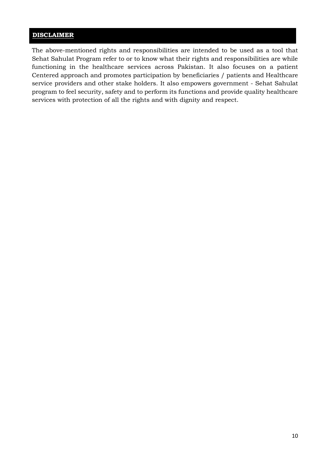#### **DISCLAIMER**

The above-mentioned rights and responsibilities are intended to be used as a tool that Sehat Sahulat Program refer to or to know what their rights and responsibilities are while functioning in the healthcare services across Pakistan. It also focuses on a patient Centered approach and promotes participation by beneficiaries / patients and Healthcare service providers and other stake holders. It also empowers government - Sehat Sahulat program to feel security, safety and to perform its functions and provide quality healthcare services with protection of all the rights and with dignity and respect.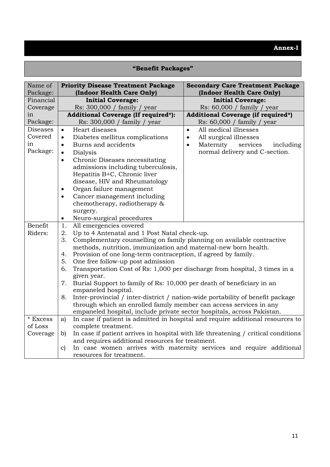### **"Benefit Packages"**

| Name of<br>Package: | <b>Priority Disease Treatment Package</b><br>(Indoor Health Care Only)                     | <b>Secondary Care Treatment Package</b><br>(Indoor Health Care Only)               |
|---------------------|--------------------------------------------------------------------------------------------|------------------------------------------------------------------------------------|
| Financial           | <b>Initial Coverage:</b>                                                                   | <b>Initial Coverage:</b>                                                           |
| Coverage            | Rs: 300,000 / family / year                                                                | Rs: 60,000 / family / year                                                         |
| in                  | <b>Additional Coverage (If required*):</b>                                                 | <b>Additional Coverage (if required*)</b>                                          |
| Package:            | Rs: 300,000 / family / year                                                                | Rs: 60,000 / family / year                                                         |
| <b>Diseases</b>     | Heart diseases<br>$\bullet$                                                                | All medical illnesses<br>$\bullet$                                                 |
| Covered             | Diabetes mellitus complications<br>$\bullet$                                               | All surgical illnesses<br>$\bullet$                                                |
| in                  | Burns and accidents                                                                        | Maternity<br>services<br>including<br>$\bullet$                                    |
| Package:            | Dialysis<br>$\bullet$                                                                      | normal delivery and C-section.                                                     |
|                     | Chronic Diseases necessitating<br>$\bullet$                                                |                                                                                    |
|                     | admissions including tuberculosis,                                                         |                                                                                    |
|                     | Hepatitis B+C, Chronic liver                                                               |                                                                                    |
|                     | disease, HIV and Rheumatology                                                              |                                                                                    |
|                     | Organ failure management                                                                   |                                                                                    |
|                     | Cancer management including                                                                |                                                                                    |
|                     | chemotherapy, radiotherapy &                                                               |                                                                                    |
|                     | surgery.                                                                                   |                                                                                    |
|                     | Neuro-surgical procedures<br>$\bullet$                                                     |                                                                                    |
| Benefit             | All emergencies covered<br>1.                                                              |                                                                                    |
| Riders:             | Up to 4 Antenatal and 1 Post Natal check-up.<br>2.                                         |                                                                                    |
|                     | 3.<br>Complementary counselling on family planning on available contractive                |                                                                                    |
|                     | methods, nutrition, immunization and maternal-new born health.                             |                                                                                    |
|                     | Provision of one long-term contraception, if agreed by family.<br>4.                       |                                                                                    |
|                     | One free follow-up post admission<br>5.                                                    |                                                                                    |
|                     | 6.                                                                                         | Transportation Cost of Rs: 1,000 per discharge from hospital, 3 times in a         |
|                     | given year.<br>Burial Support to family of Rs: 10,000 per death of beneficiary in an<br>7. |                                                                                    |
|                     | empaneled hospital.                                                                        |                                                                                    |
|                     | 8.                                                                                         | Inter-provincial / inter-district / nation-wide portability of benefit package     |
|                     | through which an enrolled family member can access services in any                         |                                                                                    |
|                     | empaneled hospital, include private sector hospitals, across Pakistan.                     |                                                                                    |
| * Excess            | a)                                                                                         | In case if patient is admitted in hospital and require additional resources to     |
| of Loss             | complete treatment.                                                                        |                                                                                    |
| Coverage            | b)                                                                                         | In case if patient arrives in hospital with life threatening / critical conditions |
|                     | and requires additional resources for treatment.                                           |                                                                                    |
|                     | $\mathbf{c}$                                                                               | In case women arrives with maternity services and require additional               |
|                     | resources for treatment.                                                                   |                                                                                    |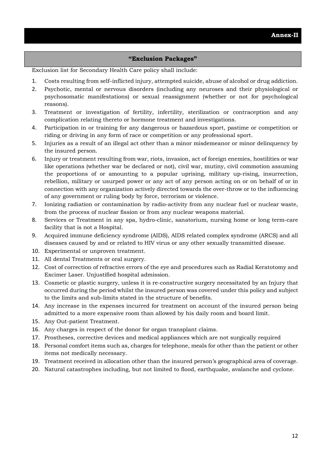#### **"Exclusion Packages"**

Exclusion list for Secondary Health Care policy shall include:

- 1. Costs resulting from self–inflicted injury, attempted suicide, abuse of alcohol or drug addiction.
- 2. Psychotic, mental or nervous disorders (including any neuroses and their physiological or psychosomatic manifestations) or sexual reassignment (whether or not for psychological reasons).
- 3. Treatment or investigation of fertility, infertility, sterilization or contraception and any complication relating thereto or hormone treatment and investigations.
- 4. Participation in or training for any dangerous or hazardous sport, pastime or competition or riding or driving in any form of race or competition or any professional sport.
- 5. Injuries as a result of an illegal act other than a minor misdemeanor or minor delinquency by the insured person.
- 6. Injury or treatment resulting from war, riots, invasion, act of foreign enemies, hostilities or war like operations (whether war be declared or not), civil war, mutiny, civil commotion assuming the proportions of or amounting to a popular uprising, military up-rising, insurrection, rebellion, military or usurped power or any act of any person acting on or on behalf of or in connection with any organization actively directed towards the over-throw or to the influencing of any government or ruling body by force, terrorism or violence.
- 7. Ionizing radiation or contamination by radio-activity from any nuclear fuel or nuclear waste, from the process of nuclear fission or from any nuclear weapons material.
- 8. Services or Treatment in any spa, hydro-clinic, sanatorium, nursing home or long term-care facility that is not a Hospital.
- 9. Acquired immune deficiency syndrome (AIDS), AIDS related complex syndrome (ARCS) and all diseases caused by and or related to HIV virus or any other sexually transmitted disease.
- 10. Experimental or unproven treatment.
- 11. All dental Treatments or oral surgery.
- 12. Cost of correction of refractive errors of the eye and procedures such as Radial Keratotomy and Excimer Laser. Unjustified hospital admission.
- 13. Cosmetic or plastic surgery, unless it is re-constructive surgery necessitated by an Injury that occurred during the period whilst the insured person was covered under this policy and subject to the limits and sub-limits stated in the structure of benefits.
- 14. Any increase in the expenses incurred for treatment on account of the insured person being admitted to a more expensive room than allowed by his daily room and board limit.
- 15. Any Out-patient Treatment.
- 16. Any charges in respect of the donor for organ transplant claims.
- 17. Prostheses, corrective devices and medical appliances which are not surgically required
- 18. Personal comfort items such as, charges for telephone, meals for other than the patient or other items not medically necessary.
- 19. Treatment received in allocation other than the insured person's geographical area of coverage.
- 20. Natural catastrophes including, but not limited to flood, earthquake, avalanche and cyclone.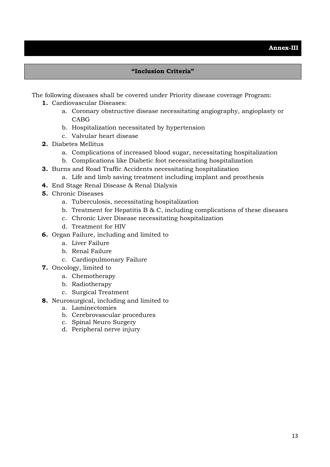#### **"Inclusion Criteria"**

The following diseases shall be covered under Priority disease coverage Program:

- **1.** Cardiovascular Diseases:
	- a. Coronary obstructive disease necessitating angiography, angioplasty or CABG
	- b. Hospitalization necessitated by hypertension
	- c. Valvular heart disease
- **2.** Diabetes Mellitus
	- a. Complications of increased blood sugar, necessitating hospitalization
	- b. Complications like Diabetic foot necessitating hospitalization
- **3.** Burns and Road Traffic Accidents necessitating hospitalization
	- a. Life and limb saving treatment including implant and prosthesis
- **4.** End Stage Renal Disease & Renal Dialysis
- **5.** Chronic Diseases
	- a. Tuberculosis, necessitating hospitalization
	- b. Treatment for Hepatitis B & C, including complications of these diseases
	- c. Chronic Liver Disease necessitating hospitalization
	- d. Treatment for HIV
- **6.** Organ Failure, including and limited to
	- a. Liver Failure
	- b. Renal Failure
	- c. Cardiopulmonary Failure
- **7.** Oncology, limited to
	- a. Chemotherapy
	- b. Radiotherapy
	- c. Surgical Treatment
- **8.** Neurosurgical, including and limited to
	- a. Laminectomies
	- b. Cerebrovascular procedures
	- c. Spinal Neuro Surgery
	- d. Peripheral nerve injury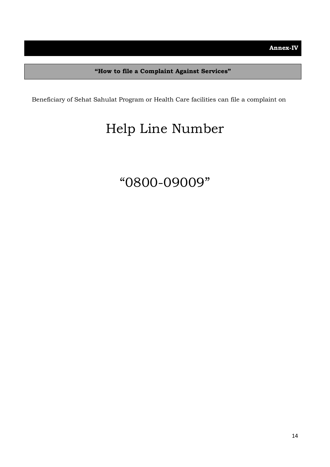Beneficiary of Sehat Sahulat Program or Health Care facilities can file a complaint on

## Help Line Number

### "0800-09009"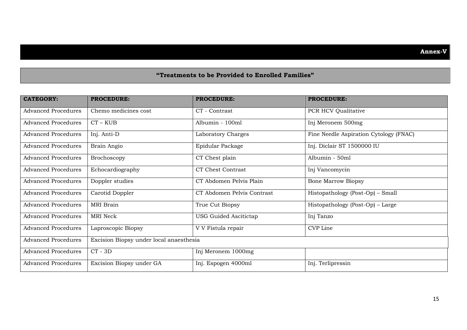#### **"Treatments to be Provided to Enrolled Families"**

| <b>CATEGORY:</b>           | <b>PROCEDURE:</b>                       | <b>PROCEDURE:</b>            | <b>PROCEDURE:</b>                      |
|----------------------------|-----------------------------------------|------------------------------|----------------------------------------|
| <b>Advanced Procedures</b> | Chemo medicines cost                    | CT - Contrast                | PCR HCV Qualitative                    |
| <b>Advanced Procedures</b> | $CT - KUB$                              | Albumin - 100ml              | Inj Meronem 500mg                      |
| <b>Advanced Procedures</b> | Inj. Anti-D                             | Laboratory Charges           | Fine Needle Aspiration Cytology (FNAC) |
| <b>Advanced Procedures</b> | Brain Angio                             | Epidular Package             | Inj. Diclair ST 1500000 IU             |
| <b>Advanced Procedures</b> | Brochoscopy                             | CT Chest plain               | Albumin - 50ml                         |
| <b>Advanced Procedures</b> | Echocardiography                        | CT Chest Contrast            | Inj Vancomycin                         |
| <b>Advanced Procedures</b> | Doppler studies                         | CT Abdomen Pelvis Plain      | <b>Bone Marrow Biopsy</b>              |
| <b>Advanced Procedures</b> | Carotid Doppler                         | CT Abdomen Pelvis Contrast   | Histopathology (Post-Op) - Small       |
| <b>Advanced Procedures</b> | <b>MRI</b> Brain                        | True Cut Biopsy              | Histopathology (Post-Op) – Large       |
| <b>Advanced Procedures</b> | MRI Neck                                | <b>USG Guided Ascitictap</b> | Inj Tanzo                              |
| <b>Advanced Procedures</b> | Laproscopic Biopsy                      | V V Fistula repair           | CVP Line                               |
| <b>Advanced Procedures</b> | Excision Biopsy under local anaesthesia |                              |                                        |
| <b>Advanced Procedures</b> | $CT - 3D$                               | Inj Meronem 1000mg           |                                        |
| <b>Advanced Procedures</b> | Excision Biopsy under GA                | Inj. Espogen 4000ml          | Inj. Terlipressin                      |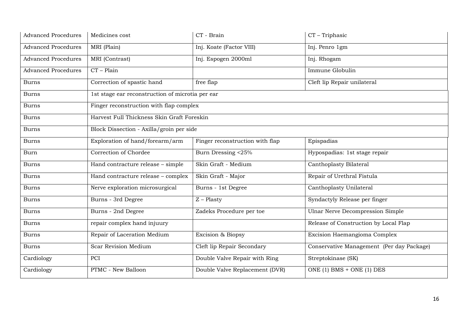| <b>Advanced Procedures</b> | Medicines cost                                   | CT - Brain                      | CT - Triphasic                            |
|----------------------------|--------------------------------------------------|---------------------------------|-------------------------------------------|
| <b>Advanced Procedures</b> | MRI (Plain)                                      | Inj. Koate (Factor VIII)        | Inj. Penro 1gm                            |
| <b>Advanced Procedures</b> | MRI (Contrast)                                   | Inj. Espogen 2000ml             | Inj. Rhogam                               |
| <b>Advanced Procedures</b> | $CT - Plain$                                     |                                 | Immune Globulin                           |
| <b>Burns</b>               | Correction of spastic hand                       | free flap                       | Cleft lip Repair unilateral               |
| Burns                      | 1st stage ear reconstruction of microtia per ear |                                 |                                           |
| <b>Burns</b>               | Finger reconstruction with flap complex          |                                 |                                           |
| <b>Burns</b>               | Harvest Full Thickness Skin Graft Foreskin       |                                 |                                           |
| <b>Burns</b>               | Block Dissection - Axilla/groin per side         |                                 |                                           |
| <b>Burns</b>               | Exploration of hand/forearm/arm                  | Finger reconstruction with flap | Epispadias                                |
| Burn                       | Correction of Chordee                            | Burn Dressing <25%              | Hypospadias: 1st stage repair             |
| <b>Burns</b>               | Hand contracture release - simple                | Skin Graft - Medium             | Canthoplasty Bilateral                    |
| <b>Burns</b>               | Hand contracture release - complex               | Skin Graft - Major              | Repair of Urethral Fistula                |
| <b>Burns</b>               | Nerve exploration microsurgical                  | Burns - 1st Degree              | Canthoplasty Unilateral                   |
| <b>Burns</b>               | Burns - 3rd Degree                               | $Z$ – Plasty                    | Syndactyly Release per finger             |
| <b>Burns</b>               | Burns - 2nd Degree                               | Zadeks Procedure per toe        | <b>Ulnar Nerve Decompression Simple</b>   |
| Burns                      | repair complex hand injuury                      |                                 | Release of Construction by Local Flap     |
| <b>Burns</b>               | Repair of Laceration Medium                      | Excision & Biopsy               | Excision Haemangioma Complex              |
| <b>Burns</b>               | Scar Revision Medium                             | Cleft lip Repair Secondary      | Conservative Management (Per day Package) |
| Cardiology                 | PCI                                              | Double Valve Repair with Ring   | Streptokinase (SK)                        |
| Cardiology                 | PTMC - New Balloon                               | Double Valve Replacement (DVR)  | ONE (1) BMS + ONE (1) DES                 |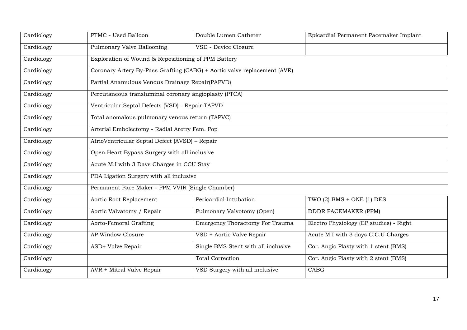| Cardiology | PTMC - Used Balloon                                   | Double Lumen Catheter                                                    | Epicardial Permanent Pacemaker Implant  |
|------------|-------------------------------------------------------|--------------------------------------------------------------------------|-----------------------------------------|
| Cardiology | Pulmonary Valve Ballooning                            | VSD - Device Closure                                                     |                                         |
| Cardiology | Exploration of Wound & Repositioning of PPM Battery   |                                                                          |                                         |
| Cardiology |                                                       | Coronary Artery By-Pass Grafting (CABG) + Aortic valve replacement (AVR) |                                         |
| Cardiology | Partial Anamulous Venous Drainage Repair(PAPVD)       |                                                                          |                                         |
| Cardiology | Percutaneous transluminal coronary angioplasty (PTCA) |                                                                          |                                         |
| Cardiology | Ventricular Septal Defects (VSD) - Repair TAPVD       |                                                                          |                                         |
| Cardiology | Total anomalous pulmonary venous return (TAPVC)       |                                                                          |                                         |
| Cardiology | Arterial Embolectomy - Radial Aretry Fem. Pop         |                                                                          |                                         |
| Cardiology | AtrioVentricular Septal Defect (AVSD) - Repair        |                                                                          |                                         |
| Cardiology | Open Heart Bypass Surgery with all inclusive          |                                                                          |                                         |
| Cardiology | Acute M.I with 3 Days Charges in CCU Stay             |                                                                          |                                         |
| Cardiology | PDA Ligation Surgery with all inclusive               |                                                                          |                                         |
| Cardiology | Permanent Pace Maker - PPM VVIR (Single Chamber)      |                                                                          |                                         |
| Cardiology | Aortic Root Replacement                               | Pericardial Intubation                                                   | TWO $(2)$ BMS + ONE $(1)$ DES           |
| Cardiology | Aortic Valvatomy / Repair                             | Pulmonary Valvotomy (Open)                                               | <b>DDDR PACEMAKER (PPM)</b>             |
| Cardiology | Aorto-Femoral Grafting                                | <b>Emergency Thoractomy For Trauma</b>                                   | Electro Physiology (EP studies) - Right |
| Cardiology | AP Window Closure                                     | VSD + Aortic Valve Repair                                                | Acute M.I with 3 days C.C.U Charges     |
| Cardiology | ASD+ Valve Repair                                     | Single BMS Stent with all inclusive                                      | Cor. Angio Plasty with 1 stent (BMS)    |
| Cardiology |                                                       | <b>Total Correction</b>                                                  | Cor. Angio Plasty with 2 stent (BMS)    |
| Cardiology | AVR + Mitral Valve Repair                             | VSD Surgery with all inclusive                                           | <b>CABG</b>                             |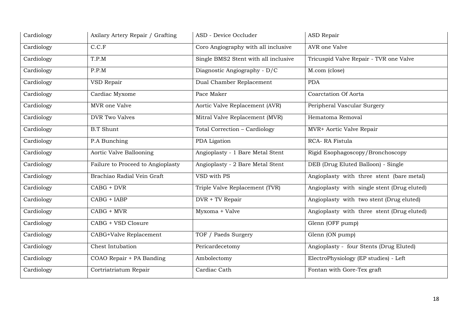| Cardiology | Axilary Artery Repair / Grafting  | ASD - Device Occluder                | <b>ASD Repair</b>                           |
|------------|-----------------------------------|--------------------------------------|---------------------------------------------|
| Cardiology | C.C.F                             | Coro Angiography with all inclusive  | AVR one Valve                               |
| Cardiology | T.P.M                             | Single BMS2 Stent with all inclusive | Tricuspid Valve Repair - TVR one Valve      |
| Cardiology | P.P.M                             | Diagnostic Angiography - D/C         | M.com (close)                               |
| Cardiology | VSD Repair                        | Dual Chamber Replacement             | <b>PDA</b>                                  |
| Cardiology | Cardiac Myxome                    | Pace Maker                           | Coarctation Of Aorta                        |
| Cardiology | MVR one Valve                     | Aortic Valve Replacement (AVR)       | Peripheral Vascular Surgery                 |
| Cardiology | <b>DVR Two Valves</b>             | Mitral Valve Replacement (MVR)       | Hematoma Removal                            |
| Cardiology | <b>B.T</b> Shunt                  | Total Correction - Cardiology        | MVR+ Aortic Valve Repair                    |
| Cardiology | P.A Bunching                      | PDA Ligation                         | RCA-RA Fistula                              |
| Cardiology | Aortic Valve Ballooning           | Angioplasty - 1 Bare Metal Stent     | Rigid Esophagoscopy/Bronchoscopy            |
| Cardiology | Failure to Proceed to Angioplasty | Angioplasty - 2 Bare Metal Stent     | DEB (Drug Eluted Balloon) - Single          |
| Cardiology | Brachiao Radial Vein Graft        | VSD with PS                          | Angioplasty with three stent (bare metal)   |
| Cardiology | $CABG + DVR$                      | Triple Valve Replacement (TVR)       | Angioplasty with single stent (Drug eluted) |
| Cardiology | CABG + IABP                       | DVR + TV Repair                      | Angioplasty with two stent (Drug eluted)    |
| Cardiology | CABG + MVR                        | Myxoma + Valve                       | Angioplasty with three stent (Drug eluted)  |
| Cardiology | CABG + VSD Closure                |                                      | Glenn (OFF pump)                            |
| Cardiology | CABG+Valve Replacement            | TOF / Paeds Surgery                  | Glenn (ON pump)                             |
| Cardiology | Chest Intubation                  | Pericardecetomy                      | Angioplasty - four Stents (Drug Eluted)     |
| Cardiology | COAO Repair + PA Banding          | Ambolectomy                          | ElectroPhysiology (EP studies) - Left       |
| Cardiology | Cortriatriatum Repair             | Cardiac Cath                         | Fontan with Gore-Tex graft                  |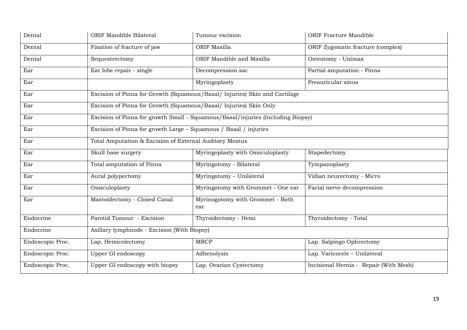| Dental           | ORIF Mandible Bilateral                                           | Tumour excision                                                                 | <b>ORIF Fracture Mandible</b>          |
|------------------|-------------------------------------------------------------------|---------------------------------------------------------------------------------|----------------------------------------|
| Dental           | Fixation of fracture of jaw                                       | <b>ORIF Maxilla</b>                                                             | ORIF Zygomatic fracture (complex)      |
| Dental           | Sequestrectomy                                                    | ORIF Mandible and Maxilla                                                       | Osteotomy - Unimax                     |
| Ear              | Ear lobe repair - single                                          | Decompression sac                                                               | Partial amputation - Pinna             |
| Ear              |                                                                   | Myringoplasty                                                                   | Preauricular sinus                     |
| Ear              |                                                                   | Excision of Pinna for Growth (Squamous/Basal/ Injuries) Skin and Cartilage      |                                        |
| Ear              | Excision of Pinna for Growth (Squamous/Basal/ Injuries) Skin Only |                                                                                 |                                        |
| Ear              |                                                                   | Excision of Pinna for growth Small - Squamous/Basal/injuries (Including Biopsy) |                                        |
| Ear              | Excision of Pinna for growth Large - Squamous / Basal / injuries  |                                                                                 |                                        |
| Ear              | Total Amputation & Excision of External Auditory Meatus           |                                                                                 |                                        |
| Ear              | Skull base surgery                                                | Myringoplasty with Ossiculoplasty                                               | Stapedectomy                           |
| Ear              | Total amputation of Pinna                                         | Myringotomy - Bilateral                                                         | Tympanoplasty                          |
| Ear              | Aural polypectomy                                                 | Myringotomy - Unilateral                                                        | Vidian neurectomy - Micro              |
| Ear              | Ossiculoplasty                                                    | Myringotomy with Grommet - One ear                                              | Facial nerve decompression             |
| Ear              | Mastoidectomy - Closed Canal                                      | Myrinogotomy with Grommet - Both<br>ear                                         |                                        |
| Endocrine        | Parotid Tumour - Excision                                         | Thyroidectomy - Hemi                                                            | Thyroidectomy - Total                  |
| Endocrine        | Axillary lymphnode - Excision (With Biopsy)                       |                                                                                 |                                        |
| Endoscopic Proc. | Lap. Hemicolectomy                                                | <b>MRCP</b>                                                                     | Lap. Salpingo Ophrectomy               |
| Endoscopic Proc. | <b>Upper GI endoscopy</b>                                         | Adhenolysis                                                                     | Lap. Varicocele - Unilateral           |
| Endoscopic Proc. | Upper GI endoscopy with biopsy                                    | Lap. Ovarian Cystectomy                                                         | Incisional Hernia - Repair (With Mesh) |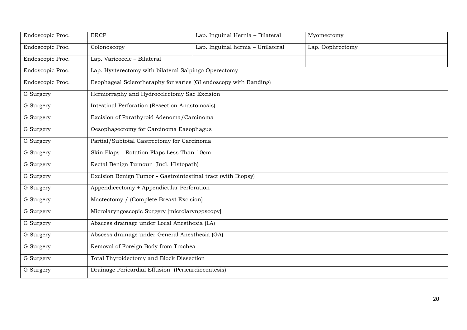| Endoscopic Proc. | <b>ERCP</b>                                                      | Lap. Inguinal Hernia - Bilateral  | Myomectomy       |
|------------------|------------------------------------------------------------------|-----------------------------------|------------------|
| Endoscopic Proc. | Colonoscopy                                                      | Lap. Inguinal hernia - Unilateral | Lap. Oophrectomy |
| Endoscopic Proc. | Lap. Varicocele - Bilateral                                      |                                   |                  |
| Endoscopic Proc. | Lap. Hysterectomy with bilateral Salpingo Operectomy             |                                   |                  |
| Endoscopic Proc. | Esophageal Sclerotheraphy for varies (GI endoscopy with Banding) |                                   |                  |
| G Surgery        | Herniorraphy and Hydrocelectomy Sac Excision                     |                                   |                  |
| G Surgery        | <b>Intestinal Perforation (Resection Anastomosis)</b>            |                                   |                  |
| G Surgery        | Excision of Parathyroid Adenoma/Carcinoma                        |                                   |                  |
| G Surgery        | Oesophagectomy for Carcinoma Easophagus                          |                                   |                  |
| G Surgery        | Partial/Subtotal Gastrectomy for Carcinoma                       |                                   |                  |
| G Surgery        | Skin Flaps - Rotation Flaps Less Than 10cm                       |                                   |                  |
| G Surgery        | Rectal Benign Tumour (Incl. Histopath)                           |                                   |                  |
| G Surgery        | Excision Benign Tumor - Gastrointestinal tract (with Biopsy)     |                                   |                  |
| G Surgery        | Appendicectomy + Appendicular Perforation                        |                                   |                  |
| G Surgery        | Mastectomy / (Complete Breast Excision)                          |                                   |                  |
| G Surgery        | Microlaryngoscopic Surgery [microlaryngoscopy]                   |                                   |                  |
| G Surgery        | Abscess drainage under Local Anesthesia (LA)                     |                                   |                  |
| G Surgery        | Abscess drainage under General Anesthesia (GA)                   |                                   |                  |
| G Surgery        | Removal of Foreign Body from Trachea                             |                                   |                  |
| G Surgery        | <b>Total Thyroidectomy and Block Dissection</b>                  |                                   |                  |
| G Surgery        | Drainage Pericardial Effusion (Pericardiocentesis)               |                                   |                  |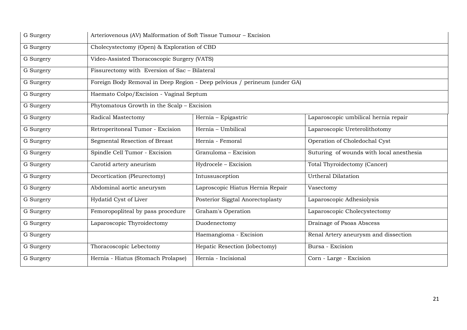| G Surgery | Arteriovenous (AV) Malformation of Soft Tissue Tumour - Excision |                                                                           |                                          |
|-----------|------------------------------------------------------------------|---------------------------------------------------------------------------|------------------------------------------|
| G Surgery | Cholecystectomy (Open) & Exploration of CBD                      |                                                                           |                                          |
| G Surgery | Video-Assisted Thoracoscopic Surgery (VATS)                      |                                                                           |                                          |
| G Surgery | Fissurectomy with Eversion of Sac - Bilateral                    |                                                                           |                                          |
| G Surgery |                                                                  | Foreign Body Removal in Deep Region - Deep pelvious / perineum (under GA) |                                          |
| G Surgery | Haemato Colpo/Excision - Vaginal Septum                          |                                                                           |                                          |
| G Surgery | Phytomatous Growth in the Scalp - Excision                       |                                                                           |                                          |
| G Surgery | Radical Mastectomy                                               | Hernia - Epigastric                                                       | Laparoscopic umbilical hernia repair     |
| G Surgery | Retroperitoneal Tumor - Excision                                 | Hernia - Umbilical                                                        | Laparoscopic Ureterolithotomy            |
| G Surgery | Segmental Resection of Breast                                    | Hernia - Femoral                                                          | Operation of Choledochal Cyst            |
| G Surgery | Spindle Cell Tumor - Excision                                    | Granuloma - Excision                                                      | Suturing of wounds with local anesthesia |
| G Surgery | Carotid artery aneurism                                          | Hydrocele - Excision                                                      | Total Thyroidectomy (Cancer)             |
| G Surgery | Decortication (Pleurectomy)                                      | Intussusception                                                           | <b>Urtheral Dilatation</b>               |
| G Surgery | Abdominal aortic aneurysm                                        | Laproscopic Hiatus Hernia Repair                                          | Vasectomy                                |
| G Surgery | Hydatid Cyst of Liver                                            | Posterior Siggtal Anorectoplasty                                          | Laparoscopic Adhesiolysis                |
| G Surgery | Femoropopliteal by pass procedure                                | Graham's Operation                                                        | Laparoscopic Cholecystectomy             |
| G Surgery | Laparoscopic Thyroidectomy                                       | Duodenectomy                                                              | Drainage of Psoas Abscess                |
| G Surgery |                                                                  | Haemangioma - Excision                                                    | Renal Artery aneurysm and dissection     |
| G Surgery | Thoracoscopic Lebectomy                                          | Hepatic Resection (lobectomy)                                             | Bursa - Excision                         |
| G Surgery | Hernia - Hiatus (Stomach Prolapse)                               | Hernia - Incisional                                                       | Corn - Large - Excision                  |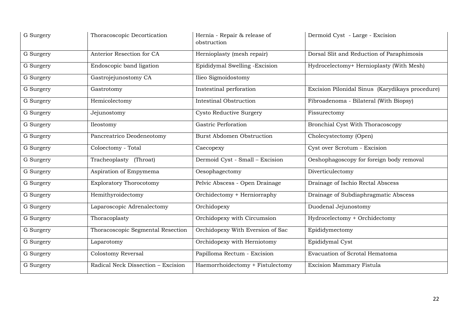| G Surgery | Thoracoscopic Decortication        | Hernia - Repair & release of<br>obstruction | Dermoid Cyst - Large - Excision                 |
|-----------|------------------------------------|---------------------------------------------|-------------------------------------------------|
| G Surgery | Anterior Resection for CA          | Hernioplasty (mesh repair)                  | Dorsal Slit and Reduction of Paraphimosis       |
| G Surgery | Endoscopic band ligation           | Epididymal Swelling - Excision              | Hydrocelectomy+ Hernioplasty (With Mesh)        |
| G Surgery | Gastrojejunostomy CA               | Ilieo Sigmoidostomy                         |                                                 |
| G Surgery | Gastrotomy                         | Instestinal perforation                     | Excision Pilonidal Sinus (Karydikays procedure) |
| G Surgery | Hemicolectomy                      | <b>Intestinal Obstruction</b>               | Fibroadenoma - Bilateral (With Biopsy)          |
| G Surgery | Jejunostomy                        | Cysto Reductive Surgery                     | Fissurectomy                                    |
| G Surgery | Ileostomy                          | Gastric Perforation                         | Bronchial Cyst With Thoracoscopy                |
| G Surgery | Pancreatrico Deodeneotomy          | <b>Burst Abdomen Obstruction</b>            | Cholecystectomy (Open)                          |
| G Surgery | Coloectomy - Total                 | Caecopexy                                   | Cyst over Scrotum - Excision                    |
| G Surgery | Tracheoplasty (Throat)             | Dermoid Cyst - Small - Excision             | Oeshophagoscopy for foreign body removal        |
| G Surgery | Aspiration of Empymema             | Oesophagectomy                              | Diverticulectomy                                |
| G Surgery | <b>Exploratory Thorocotomy</b>     | Pelvic Abscess - Open Drainage              | Drainage of Ischio Rectal Abscess               |
| G Surgery | Hemithyroidectomy                  | Orchidectomy + Herniorraphy                 | Drainage of Subdiaphragmatic Abscess            |
| G Surgery | Laparoscopic Adrenalectomy         | Orchidopexy                                 | Duodenal Jejunostomy                            |
| G Surgery | Thoracoplasty                      | Orchidopexy with Circumsion                 | Hydrocelectomy + Orchidectomy                   |
| G Surgery | Thoracoscopic Segmental Resection  | Orchidopexy With Eversion of Sac            | Epididymectomy                                  |
| G Surgery | Laparotomy                         | Orchidopexy with Herniotomy                 | Epididymal Cyst                                 |
| G Surgery | Colostomy Reversal                 | Papilloma Rectum - Excision                 | Evacuation of Scrotal Hematoma                  |
| G Surgery | Radical Neck Dissection - Excision | Haemorrhoidectomy + Fistulectomy            | Excision Mammary Fistula                        |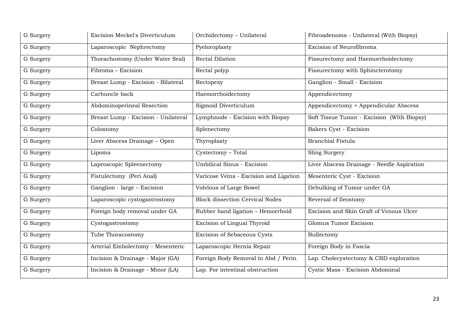| G Surgery | Excision Meckel's Diverticulum      | Orchidectomy - Unilateral              | Fibroadenoma - Unilateral (With Biopsy)    |
|-----------|-------------------------------------|----------------------------------------|--------------------------------------------|
| G Surgery | Laparoscopic Nephrectomy            | Pyeloroplasty                          | Excision of Neurofibroma                   |
| G Surgery | Thorachostomy (Under Water Seal)    | Rectal Dilation                        | Fissurectomy and Haemorrhoidectomy         |
| G Surgery | Fibroma - Excision                  | Rectal polyp                           | Fissurectomy with Sphincterotomy           |
| G Surgery | Breast Lump - Excision - Bilateral  | Rectopexy                              | Ganglion - Small - Excision                |
| G Surgery | Carbuncle back                      | Haemorrhoidectomy                      | Appendicectomy                             |
| G Surgery | Abdominoperineal Resection          | Sigmoid Diverticulum                   | Appendicectomy + Appendicular Abscess      |
| G Surgery | Breast Lump - Excision - Unilateral | Lymphnode - Excision with Biopsy       | Soft Tissue Tumor - Excision (WIth Biopsy) |
| G Surgery | Colostomy                           | Splenectomy                            | Bakers Cyst - Excision                     |
| G Surgery | Liver Abscess Drainage - Open       | Thyroplasty                            | <b>Branchial Fistula</b>                   |
| G Surgery | Lipoma                              | Cystectomy - Total                     | Sling Surgery                              |
| G Surgery | Laproscopic Spleenectomy            | <b>Umbilical Sinus - Excision</b>      | Liver Abscess Drainage - Needle Aspiration |
| G Surgery | Fistulectomy (Peri Anal)            | Varicose Veins - Excision and Ligation | Mesenteric Cyst - Excision                 |
| G Surgery | Ganglion - large – Excision         | Volvlous of Large Bowel                | Debulking of Tumor under GA                |
| G Surgery | Laparoscopic cystogastrostomy       | <b>Block dissection Cervical Nodes</b> | Reversal of Ileostomy                      |
| G Surgery | Foreign body removal under GA       | Rubber band ligation - Hemorrhoid      | Excision and Skin Graft of Venous Ulcer    |
| G Surgery | Cystogastrostomy                    | Excision of Lingual Thyroid            | Glomus Tumor Excision                      |
| G Surgery | Tube Thoracostomy                   | Excision of Sebaceous Cysts            | Bullectomy                                 |
| G Surgery | Arterial Embolectomy - Mesenteric   | Laparoscopic Hernia Repair             | Foreign Body in Fascia                     |
| G Surgery | Incision & Drainage - Major (GA)    | Foreign Body Removal in Abd / Perin    | Lap. Cholecystectomy & CBD exploration     |
| G Surgery | Incision & Drainage - Minor (LA)    | Lap. For intestinal obstruction        | Cystic Mass - Excision Abdominal           |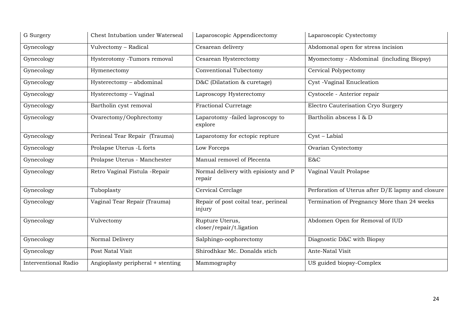| G Surgery                   | Chest Intubation under Waterseal  | Laparoscopic Appendicectomy                    | Laparoscopic Cystectomy                           |
|-----------------------------|-----------------------------------|------------------------------------------------|---------------------------------------------------|
| Gynecology                  | Vulvectomy - Radical              | Cesarean delivery                              | Abdomonal open for stress incision                |
| Gynecology                  | Hysterotomy -Tumors removal       | Cesarean Hysterectomy                          | Myomectomy - Abdominal (including Biopsy)         |
| Gynecology                  | Hymenectomy                       | Conventional Tubectomy                         | Cervical Polypectomy                              |
| Gynecology                  | Hysterectomy - abdominal          | D&C (Dilatation & curetage)                    | Cyst -Vaginal Enucleation                         |
| Gynecology                  | Hysterectomy - Vaginal            | Laproscopy Hysterectomy                        | Cystocele - Anterior repair                       |
| Gynecology                  | Bartholin cyst removal            | <b>Fractional Curretage</b>                    | Electro Cauterisation Cryo Surgery                |
| Gynecology                  | Ovarectomy/Oophrectomy            | Laparotomy -failed laproscopy to<br>explore    | Bartholin abscess I & D                           |
| Gynecology                  | Perineal Tear Repair (Trauma)     | Laparotomy for ectopic repture                 | Cyst - Labial                                     |
| Gynecology                  | Prolapse Uterus -L forts          | Low Forceps                                    | Ovarian Cystectomy                                |
| Gynecology                  | Prolapse Uterus - Manchester      | Manual removel of Plecenta                     | E&C                                               |
| Gynecology                  | Retro Vaginal Fistula - Repair    | Normal delivery with episiosty and P<br>repair | Vaginal Vault Prolapse                            |
| Gynecology                  | Tuboplasty                        | Cervical Cerclage                              | Perforation of Uterus after D/E lapmy and closure |
| Gynecology                  | Vaginal Tear Repair (Trauma)      | Repair of post coital tear, perineal<br>injury | Termination of Pregnancy More than 24 weeks       |
| Gynecology                  | Vulvectomy                        | Rupture Uterus,<br>closer/repair/t.ligation    | Abdomen Open for Removal of IUD                   |
| Gynecology                  | Normal Delivery                   | Salphingo-oophorectomy                         | Diagnostic D&C with Biopsy                        |
| Gynecology                  | Post Natal Visit                  | Shirodhkar Mc. Donalds stich                   | Ante-Natal Visit                                  |
| <b>Interventional Radio</b> | Angioplasty peripheral + stenting | Mammography                                    | US guided biopsy-Complex                          |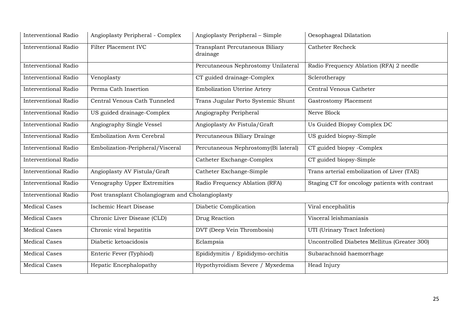| <b>Interventional Radio</b> | Angioplasty Peripheral - Complex                  | Angioplasty Peripheral - Simple             | Oesophageal Dilatation                         |
|-----------------------------|---------------------------------------------------|---------------------------------------------|------------------------------------------------|
| <b>Interventional Radio</b> | Filter Placement IVC                              | Transplant Percutaneous Biliary<br>drainage | <b>Catheter Recheck</b>                        |
| <b>Interventional Radio</b> |                                                   | Percutaneous Nephrostomy Unilateral         | Radio Frequency Ablation (RFA) 2 needle        |
| <b>Interventional Radio</b> | Venoplasty                                        | CT guided drainage-Complex                  | Sclerotherapy                                  |
| <b>Interventional Radio</b> | Perma Cath Insertion                              | <b>Embolization Uterine Artery</b>          | Central Venous Catheter                        |
| <b>Interventional Radio</b> | Central Venous Cath Tunneled                      | Trans Jugular Porto Systemic Shunt          | <b>Gastrostomy Placement</b>                   |
| <b>Interventional Radio</b> | US guided drainage-Complex                        | Angiography Peripheral                      | Nerve Block                                    |
| <b>Interventional Radio</b> | Angiography Single Vessel                         | Angioplasty Av Fistula/Graft                | Us Guided Biopsy Complex DC                    |
| <b>Interventional Radio</b> | Embolization Avm Cerebral                         | Percutaneous Biliary Drainge                | US guided biopsy-Simple                        |
| <b>Interventional Radio</b> | Embolization-Peripheral/Visceral                  | Percutaneous Nephrostomy(Bi lateral)        | CT guided biopsy -Complex                      |
| <b>Interventional Radio</b> |                                                   | Catheter Exchange-Complex                   | CT guided biopsy-Simple                        |
| <b>Interventional Radio</b> | Angioplasty AV Fistula/Graft                      | Catheter Exchange-Simple                    | Trans arterial embolization of Liver (TAE)     |
| <b>Interventional Radio</b> | Venography Upper Extremities                      | Radio Frequency Ablation (RFA)              | Staging CT for oncology patients with contrast |
| <b>Interventional Radio</b> | Post transplant Cholangiogram and Cholangioplasty |                                             |                                                |
| <b>Medical Cases</b>        | Ischemic Heart Disease                            | Diabetic Complication                       | Viral encephalitis                             |
| <b>Medical Cases</b>        | Chronic Liver Disease (CLD)                       | Drug Reaction                               | Visceral leishmaniasis                         |
| <b>Medical Cases</b>        | Chronic viral hepatitis                           | DVT (Deep Vein Thrombosis)                  | UTI (Urinary Tract Infection)                  |
| <b>Medical Cases</b>        | Diabetic ketoacidosis                             | Eclampsia                                   | Uncontrolled Diabetes Mellitus (Greater 300)   |
| <b>Medical Cases</b>        | Enteric Fever (Typhiod)                           | Epididymitis / Epididymo-orchitis           | Subarachnoid haemorrhage                       |
| <b>Medical Cases</b>        | Hepatic Encephalopathy                            | Hypothyroidism Severe / Myxedema            | Head Injury                                    |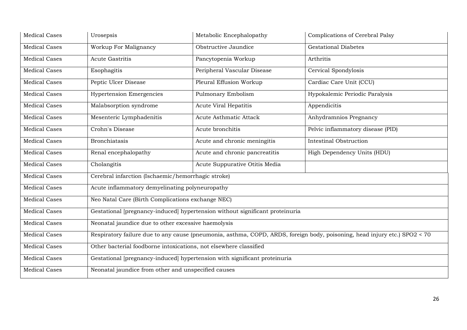| <b>Medical Cases</b> | Urosepsis                                                                                                                 | Metabolic Encephalopathy                                                     | Complications of Cerebral Palsy   |  |  |
|----------------------|---------------------------------------------------------------------------------------------------------------------------|------------------------------------------------------------------------------|-----------------------------------|--|--|
| <b>Medical Cases</b> | Workup For Malignancy                                                                                                     | Obstructive Jaundice                                                         | <b>Gestational Diabetes</b>       |  |  |
| <b>Medical Cases</b> | <b>Acute Gastritis</b>                                                                                                    | Pancytopenia Workup                                                          | Arthritis                         |  |  |
| <b>Medical Cases</b> | Esophagitis                                                                                                               | Peripheral Vascular Disease                                                  | Cervical Spondylosis              |  |  |
| <b>Medical Cases</b> | Peptic Ulcer Disease                                                                                                      | Pleural Effusion Workup                                                      | Cardiac Care Unit (CCU)           |  |  |
| <b>Medical Cases</b> | <b>Hypertension Emergencies</b>                                                                                           | Pulmonary Embolism                                                           | Hypokalemic Periodic Paralysis    |  |  |
| <b>Medical Cases</b> | Malabsorption syndrome                                                                                                    | <b>Acute Viral Hepatitis</b>                                                 | Appendicitis                      |  |  |
| <b>Medical Cases</b> | Mesenteric Lymphadenitis                                                                                                  | Acute Asthmatic Attack                                                       | Anhydramnios Pregnancy            |  |  |
| <b>Medical Cases</b> | Crohn's Disease                                                                                                           | Acute bronchitis                                                             | Pelvic inflammatory disease (PID) |  |  |
| <b>Medical Cases</b> | <b>Bronchiatasis</b>                                                                                                      | Acute and chronic meningitis                                                 | <b>Intestinal Obstruction</b>     |  |  |
| <b>Medical Cases</b> | Renal encephalopathy                                                                                                      | Acute and chronic pancreatitis                                               | High Dependency Units (HDU)       |  |  |
| <b>Medical Cases</b> | Cholangitis                                                                                                               | Acute Suppurative Otitis Media                                               |                                   |  |  |
| <b>Medical Cases</b> | Cerebral infarction (Ischaemic/hemorrhagic stroke)                                                                        |                                                                              |                                   |  |  |
| <b>Medical Cases</b> | Acute inflammatory demyelinating polyneuropathy                                                                           |                                                                              |                                   |  |  |
| <b>Medical Cases</b> |                                                                                                                           | Neo Natal Care (Birth Complications exchange NEC)                            |                                   |  |  |
| <b>Medical Cases</b> |                                                                                                                           | Gestational [pregnancy-induced] hypertension without significant proteinuria |                                   |  |  |
| <b>Medical Cases</b> | Neonatal jaundice due to other excessive haemolysis                                                                       |                                                                              |                                   |  |  |
| <b>Medical Cases</b> | Respiratory failure due to any cause (pneumonia, asthma, COPD, ARDS, foreign body, poisoning, head injury etc.) SPO2 < 70 |                                                                              |                                   |  |  |
| <b>Medical Cases</b> |                                                                                                                           | Other bacterial foodborne intoxications, not elsewhere classified            |                                   |  |  |
| Medical Cases        |                                                                                                                           | Gestational [pregnancy-induced] hypertension with significant proteinuria    |                                   |  |  |
| <b>Medical Cases</b> | Neonatal jaundice from other and unspecified causes                                                                       |                                                                              |                                   |  |  |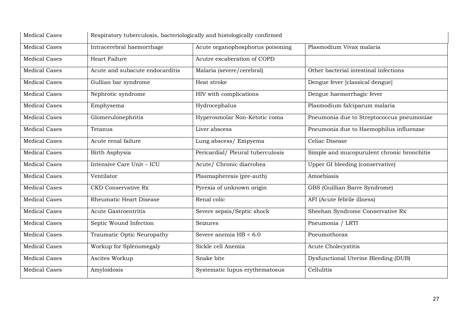| <b>Medical Cases</b> | Respiratory tuberculosis, bacteriologically and histologically confirmed |                                   |                                            |  |
|----------------------|--------------------------------------------------------------------------|-----------------------------------|--------------------------------------------|--|
| <b>Medical Cases</b> | Intracerebral haemorrhage                                                | Acute organophosphorus poisoning  | Plasmodium Vivax malaria                   |  |
| <b>Medical Cases</b> | Heart Failure                                                            | Acutre excaberation of COPD       |                                            |  |
| <b>Medical Cases</b> | Acute and subacute endocarditis                                          | Malaria (severe/cerebral)         | Other bacterial intestinal infections      |  |
| <b>Medical Cases</b> | Gullian bar syndrome                                                     | Heat stroke                       | Dengue fever [classical dengue]            |  |
| <b>Medical Cases</b> | Nephrotic syndrome                                                       | HIV with complications            | Dengue haemorrhagic fever                  |  |
| <b>Medical Cases</b> | Emphysema                                                                | Hydrocephalus                     | Plasmodium falciparum malaria              |  |
| <b>Medical Cases</b> | Glomerulonephritis                                                       | Hyperosmolar Non-Ketotic coma     | Pneumonia due to Streptococcus pneumoniae  |  |
| <b>Medical Cases</b> | Tetanus                                                                  | Liver abscess                     | Pneumonia due to Haemophilus influenzae    |  |
| <b>Medical Cases</b> | Acute renal failure                                                      | Lung abscess/ Empyema             | Celiac Disease                             |  |
| <b>Medical Cases</b> | Birth Asphysia                                                           | Pericardial/ Pleural tuberculosis | Simple and mucopurulent chronic bronchitis |  |
| <b>Medical Cases</b> | Intensive Care Unit - ICU                                                | Acute/ Chronic diarrohea          | Upper GI bleeding (conservative)           |  |
| <b>Medical Cases</b> | Ventilator                                                               | Plasmapheresis (pre-auth)         | Amoebiasis                                 |  |
| <b>Medical Cases</b> | <b>CKD Conservative Rx</b>                                               | Pyrexia of unknown origin         | GBS (Guillian Barre Syndrome)              |  |
| <b>Medical Cases</b> | Rheumatic Heart Disease                                                  | Renal colic                       | AFI (Acute febrile illness)                |  |
| <b>Medical Cases</b> | <b>Acute Gastroentritis</b>                                              | Severe sepsis/Septic shock        | Sheehan Syndrome Conservative Rx           |  |
| <b>Medical Cases</b> | Septic Wound Infection                                                   | Seizures                          | Pneumonia / LRTI                           |  |
| <b>Medical Cases</b> | Traumatic Optic Neuropathy                                               | Severe anemia $HB < 6.0$          | Pneumothorax                               |  |
| <b>Medical Cases</b> | Workup for Splenomegaly                                                  | Sickle cell Anemia                | Acute Cholecystitis                        |  |
| <b>Medical Cases</b> | Ascites Workup                                                           | Snake bite                        | Dysfunctional Uterine Bleeding (DUB)       |  |
| <b>Medical Cases</b> | Amyloidosis                                                              | Systematic lupus erythematosus    | Cellulitis                                 |  |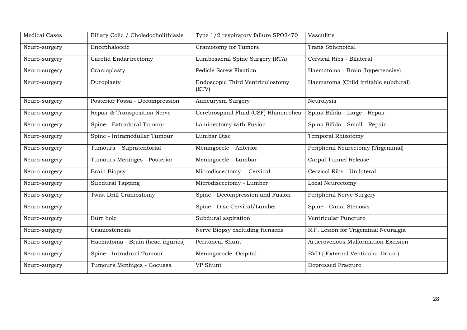| <b>Medical Cases</b> | Biliary Colic / Choledocholithiasis | Type 1/2 respiratory failure SPO2<70      | Vasculitis                           |
|----------------------|-------------------------------------|-------------------------------------------|--------------------------------------|
| Neuro-surgery        | Encephalocele                       | Craniotomy for Tumors                     | Trans Sphenoidal                     |
| Neuro-surgery        | Carotid Endartrectomy               | Lumbosacral Spine Surgery (RTA)           | Cervical Ribs - Bilateral            |
| Neuro-surgery        | Cranioplasty                        | <b>Pedicle Screw Fixation</b>             | Haematoma - Brain (hypertensive)     |
| Neuro-surgery        | Duroplasty                          | Endoscopic Third Ventriculostomy<br>(ETV) | Haematoma (Child irritable subdural) |
| Neuro-surgery        | Posterior Fossa - Decompression     | Anneurysm Surgery                         | Neurolysis                           |
| Neuro-surgery        | Repair & Transposition Nerve        | Cerebrospinal Fluid (CSF) Rhinorrohea     | Spina Bifida - Large - Repair        |
| Neuro-surgery        | Spine - Extradural Tumour           | Laminectomy with Fusion                   | Spina Bifida - Small - Repair        |
| Neuro-surgery        | Spine - Intramedullar Tumour        | Lumbar Disc                               | <b>Temporal Rhizotomy</b>            |
| Neuro-surgery        | Tumours - Supratentorial            | Meningocele – Anterior                    | Peripheral Neurectomy (Tirgeminal)   |
| Neuro-surgery        | Tumours Meninges - Posterior        | Meningocele - Lumbar                      | Carpal Tunnel Release                |
| Neuro-surgery        | <b>Brain Biopsy</b>                 | Microdiscectomy - Cervical                | Cervical Ribs - Unilateral           |
| Neuro-surgery        | Subdural Tapping                    | Microdiscectomy - Lumber                  | Local Neurectomy                     |
| Neuro-surgery        | Twist Drill Craniostomy             | Spine - Decompression and Fusion          | Peripheral Nerve Surgery             |
| Neuro-surgery        |                                     | Spine - Disc Cervical/Lumber              | Spine - Canal Stenosis               |
| Neuro-surgery        | Burr hole                           | Subdural aspiration                       | Ventricular Puncture                 |
| Neuro-surgery        | Craniostenosis                      | Nerve Biopsy excluding Hensens            | R.F. Lesion for Trigeminal Neuralgia |
| Neuro-surgery        | Haematoma - Brain (head injuries)   | Peritoneal Shunt                          | Artierovenous Malformation Excision  |
| Neuro-surgery        | Spine - Intradural Tumour           | Meningococle Ocipital                     | EVD (External Venticular Drian)      |
| Neuro-surgery        | Tumours Meninges - Gocussa          | VP Shunt                                  | <b>Depressed Fracture</b>            |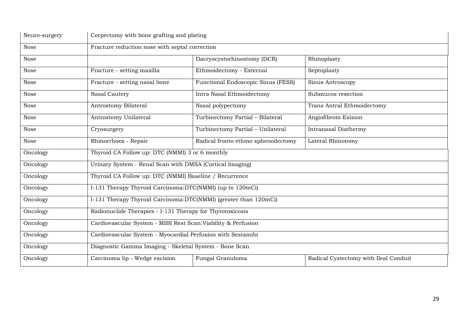| Neuro-surgery |                                                                                             | Corpectomy with bone grafting and plating |                            |  |
|---------------|---------------------------------------------------------------------------------------------|-------------------------------------------|----------------------------|--|
| Nose          | Fracture reduction nose with septal correction                                              |                                           |                            |  |
| Nose          |                                                                                             | Dacryocystorhinostomy (DCR)               | Rhinoplasty                |  |
| Nose          | Fracture - setting maxilla                                                                  | Ethmoidectomy - External                  | Septoplasty                |  |
| Nose          | Fracture - setting nasal bone                                                               | Functional Endoscopic Sinus (FESS)        | Sinus Antroscopy           |  |
| Nose          | Nasal Cautery                                                                               | Intra Nasal Ethmoidectomy                 | Submucos resection         |  |
| Nose          | Antrostomy Bilateral                                                                        | Nasal polypectomy                         | Trans Antral Ethmoidectomy |  |
| Nose          | Antrostomy Unilateral                                                                       | Turbinectomy Partial - Bilateral          | Angiofibrom Exision        |  |
| Nose          | Cryosurgery                                                                                 | Turbinectomy Partial - Unilateral         | Intranasal Diathermy       |  |
| Nose          | Rhinorrhoea - Repair                                                                        | Radical fronto ethmo sphenodectomy        | Lateral Rhinotomy          |  |
| Oncology      | Thyroid CA Follow up: DTC (NMMI) 3 or 6 monthly                                             |                                           |                            |  |
| Oncology      | Urinary System - Renal Scan with DMSA (Cortical Imaging)                                    |                                           |                            |  |
| Oncology      | Thyroid CA Follow up: DTC (NMMI) Baseline / Recurrence                                      |                                           |                            |  |
| Oncology      | I-131 Therapy Thyroid Carcinoma:DTC(NMMI) (up to 120mCi)                                    |                                           |                            |  |
| Oncology      | I-131 Therapy Thyroid Carcinoma:DTC(NMMI) (greater than 120mCi)                             |                                           |                            |  |
| Oncology      | Radionuclide Therapies - I-131 Therapy for Thyrotoxicosis                                   |                                           |                            |  |
| Oncology      | Cardiovascular System - MIBI Rest Scan: Viability & Perfusion                               |                                           |                            |  |
| Oncology      | Cardiovascular System - Myocardial Perfusion with Sestamibi                                 |                                           |                            |  |
| Oncology      | Diagnostic Gamma Imaging - Skeletal System - Bone Scan                                      |                                           |                            |  |
| Oncology      | Carcinoma lip - Wedge excision<br>Fungal Granuloma<br>Radical Cystectomy with Ileal Conduit |                                           |                            |  |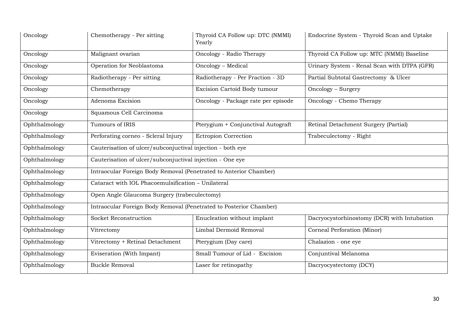| Oncology      | Chemotherapy - Per sitting                                         | Thyroid CA Follow up: DTC (NMMI)<br>Yearly | Endocrine System - Thyroid Scan and Uptake  |  |  |
|---------------|--------------------------------------------------------------------|--------------------------------------------|---------------------------------------------|--|--|
| Oncology      | Malignant ovarian                                                  | Oncology - Radio Therapy                   | Thyroid CA Follow up: MTC (NMMI) Baseline   |  |  |
| Oncology      | Operation for Neoblastoma                                          | Oncology - Medical                         | Urinary System - Renal Scan with DTPA (GFR) |  |  |
| Oncology      | Radiotherapy - Per sitting                                         | Radiotherapy - Per Fraction - 3D           | Partial Subtotal Gastrectomy & Ulcer        |  |  |
| Oncology      | Chemotherapy                                                       | Excision Cartoid Body tumour               | Oncology - Surgery                          |  |  |
| Oncology      | Adenoma Excision                                                   | Oncology - Package rate per episode        | Oncology - Chemo Therapy                    |  |  |
| Oncology      | Squamous Cell Carcinoma                                            |                                            |                                             |  |  |
| Ophthalmology | Tumours of IRIS                                                    | Pterygium + Conjunctival Autograft         | Retinal Detachment Surgery (Partial)        |  |  |
| Ophthalmology | Perforating corneo - Scleral Injury                                | <b>Ectropion Correction</b>                | Trabeculectomy - Right                      |  |  |
| Ophthalmology | Cauterisation of ulcer/subconjuctival injection - both eye         |                                            |                                             |  |  |
| Ophthalmology | Cauterisation of ulcer/subconjuctival injection - One eye          |                                            |                                             |  |  |
| Ophthalmology | Intraocular Foreign Body Removal (Penetrated to Anterior Chamber)  |                                            |                                             |  |  |
| Ophthalmology | Cataract with IOL Phacoemulsification - Unilateral                 |                                            |                                             |  |  |
| Ophthalmology | Open Angle Glaucoma Surgery (trabeculectomy)                       |                                            |                                             |  |  |
| Ophthalmology | Intraocular Foreign Body Removal (Penetrated to Posterior Chamber) |                                            |                                             |  |  |
| Ophthalmology | Socket Reconstruction                                              | Enucleation without implant                | Dacryocystorhinostomy (DCR) with Intubation |  |  |
| Ophthalmology | Vitrectomy                                                         | Limbal Dermoid Removal                     | Corneal Perforation (Minor)                 |  |  |
| Ophthalmology | Vitrectomy + Retinal Detachment                                    | Pterygium (Day care)                       | Chalazion - one eye                         |  |  |
| Ophthalmology | Eviseration (With Impant)                                          | Small Tumour of Lid - Excision             | Conjuntival Melanoma                        |  |  |
| Ophthalmology | <b>Buckle Removal</b>                                              | Laser for retinopathy                      | Dacryocystectomy (DCY)                      |  |  |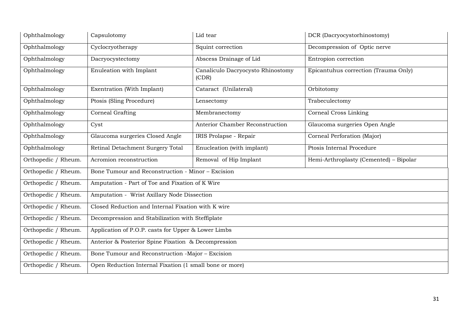| Ophthalmology       | Capsulotomy                                             | Lid tear                                            | DCR (Dacryocystorhinostomy)            |  |  |
|---------------------|---------------------------------------------------------|-----------------------------------------------------|----------------------------------------|--|--|
| Ophthalmology       | Cyclocryotherapy                                        | Squint correction                                   | Decompression of Optic nerve           |  |  |
| Ophthalmology       | Dacryocystectomy                                        | Abscess Drainage of Lid                             | Entropion correction                   |  |  |
| Ophthalmology       | Enuleation with Implant                                 | Canaliculo Dacryocysto Rhinostomy<br>(CDR)          | Epicantuhus correction (Trauma Only)   |  |  |
| Ophthalmology       | Exentration (With Implant)                              | Cataract (Unilateral)                               | Orbitotomy                             |  |  |
| Ophthalmology       | Ptosis (Sling Procedure)                                | Lensectomy                                          | Trabeculectomy                         |  |  |
| Ophthalmology       | Corneal Grafting                                        | Membranectomy                                       | Corneal Cross Linking                  |  |  |
| Ophthalmology       | Cyst                                                    | Anterior Chamber Reconstruction                     | Glaucoma surgeries Open Angle          |  |  |
| Ophthalmology       | Glaucoma surgeries Closed Angle                         | IRIS Prolapse - Repair                              | Corneal Perforation (Major)            |  |  |
| Ophthalmology       | Retinal Detachment Surgery Total                        | Enucleation (with implant)                          | Ptosis Internal Procedure              |  |  |
| Orthopedic / Rheum. | Acromion reconstruction                                 | Removal of Hip Implant                              | Hemi-Arthroplasty (Cemented) - Bipolar |  |  |
| Orthopedic / Rheum. | Bone Tumour and Reconstruction - Minor - Excision       |                                                     |                                        |  |  |
| Orthopedic / Rheum. | Amputation - Part of Toe and Fixation of K Wire         |                                                     |                                        |  |  |
| Orthopedic / Rheum. | Amputation - Wrist Axillary Node Dissection             |                                                     |                                        |  |  |
| Orthopedic / Rheum. |                                                         | Closed Reduction and Internal Fixation with K wire  |                                        |  |  |
| Orthopedic / Rheum. | Decompression and Stabilization with Steffiplate        |                                                     |                                        |  |  |
| Orthopedic / Rheum. |                                                         | Application of P.O.P. casts for Upper & Lower Limbs |                                        |  |  |
| Orthopedic / Rheum. | Anterior & Posterior Spine Fixation & Decompression     |                                                     |                                        |  |  |
| Orthopedic / Rheum. |                                                         | Bone Tumour and Reconstruction -Major - Excision    |                                        |  |  |
| Orthopedic / Rheum. | Open Reduction Internal Fixation (1 small bone or more) |                                                     |                                        |  |  |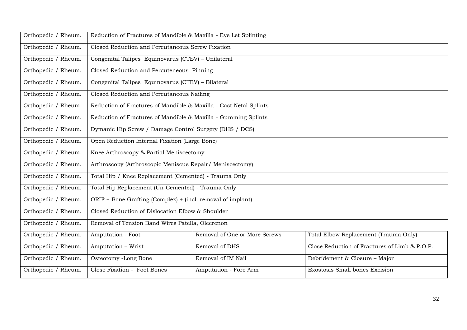| Orthopedic / Rheum. | Reduction of Fractures of Mandible & Maxilla - Eye Let Splinting  |                                                             |                                               |  |
|---------------------|-------------------------------------------------------------------|-------------------------------------------------------------|-----------------------------------------------|--|
| Orthopedic / Rheum. | Closed Reduction and Percutaneous Screw Fixation                  |                                                             |                                               |  |
| Orthopedic / Rheum. | Congenital Talipes Equinovarus (CTEV) - Unilateral                |                                                             |                                               |  |
| Orthopedic / Rheum. | Closed Reduction and Percuteneous Pinning                         |                                                             |                                               |  |
| Orthopedic / Rheum. | Congenital Talipes Equinovarus (CTEV) - Bilateral                 |                                                             |                                               |  |
| Orthopedic / Rheum. | Closed Reduction and Percutaneous Nailing                         |                                                             |                                               |  |
| Orthopedic / Rheum. | Reduction of Fractures of Mandible & Maxilla - Cast Netal Splints |                                                             |                                               |  |
| Orthopedic / Rheum. | Reduction of Fractures of Mandible & Maxilla - Gumming Splints    |                                                             |                                               |  |
| Orthopedic / Rheum. | Dymanic Hip Screw / Damage Control Surgery (DHS / DCS)            |                                                             |                                               |  |
| Orthopedic / Rheum. | Open Reduction Internal Fixation (Large Bone)                     |                                                             |                                               |  |
| Orthopedic / Rheum. | Knee Arthroscopy & Partial Meniscectomy                           |                                                             |                                               |  |
| Orthopedic / Rheum. | Arthroscopy (Arthroscopic Meniscus Repair/ Meniscectomy)          |                                                             |                                               |  |
| Orthopedic / Rheum. | Total Hip / Knee Replacement (Cemented) - Trauma Only             |                                                             |                                               |  |
| Orthopedic / Rheum. |                                                                   | Total Hip Replacement (Un-Cemented) - Trauma Only           |                                               |  |
| Orthopedic / Rheum. |                                                                   | ORIF + Bone Grafting (Complex) + (incl. removal of implant) |                                               |  |
| Orthopedic / Rheum. | Closed Reduction of Dislocation Elbow & Shoulder                  |                                                             |                                               |  |
| Orthopedic / Rheum. | Removal of Tension Band Wires Patella, Olecrenon                  |                                                             |                                               |  |
| Orthopedic / Rheum. | Amputation - Foot                                                 | Removal of One or More Screws                               | Total Elbow Replacement (Trauma Only)         |  |
| Orthopedic / Rheum. | Amputation - Wrist                                                | Removal of DHS                                              | Close Reduction of Fractures of Limb & P.O.P. |  |
| Orthopedic / Rheum. | Osteotomy -Long Bone                                              | Removal of IM Nail                                          | Debridement & Closure - Major                 |  |
| Orthopedic / Rheum. | Close Fixation - Foot Bones                                       | Amputation - Fore Arm                                       | Exostosis Small bones Excision                |  |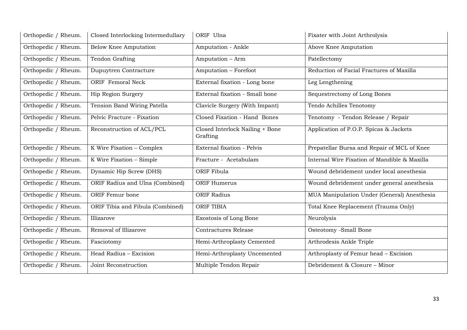| Orthopedic / Rheum. | Closed Interlocking Intermedullary | ORIF Ulna                                   | Fixater with Joint Arthrolysis               |
|---------------------|------------------------------------|---------------------------------------------|----------------------------------------------|
| Orthopedic / Rheum. | <b>Below Knee Amputation</b>       | Amputation - Ankle                          | Above Knee Amputation                        |
| Orthopedic / Rheum. | Tendon Grafting                    | Amputation - Arm                            | Patellectomy                                 |
| Orthopedic / Rheum. | Dupuytren Contracture              | Amputation - Forefoot                       | Reduction of Facial Fractures of Maxilla     |
| Orthopedic / Rheum. | ORIF Femoral Neck                  | External fixation - Long bone               | Leg Lengthening                              |
| Orthopedic / Rheum. | Hip Region Surgery                 | External fixation - Small bone              | Sequestrectomy of Long Bones                 |
| Orthopedic / Rheum. | Tension Band Wiring Patella        | Clavicle Surgery (With Impant)              | Tendo Achilles Tenotomy                      |
| Orthopedic / Rheum. | Pelvic Fracture - Fixation         | Closed Fixation - Hand Bones                | Tenotomy - Tendon Release / Repair           |
| Orthopedic / Rheum. | Reconstruction of ACL/PCL          | Closed Interlock Nailing + Bone<br>Grafting | Application of P.O.P. Spicas & Jackets       |
| Orthopedic / Rheum. | K Wire Fixation - Complex          | External fixation - Pelvis                  | Prepatellar Bursa and Repair of MCL of Knee  |
| Orthopedic / Rheum. | K Wire Fixation - Simple           | Fracture - Acetabulam                       | Internal Wire Fixation of Mandible & Maxilla |
| Orthopedic / Rheum. | Dynamic Hip Screw (DHS)            | ORIF Fibula                                 | Wound debridement under local anesthesia     |
| Orthopedic / Rheum. | ORIF Radius and Ulna (Combined)    | ORIF Humerus                                | Wound debridement under general anesthesia   |
| Orthopedic / Rheum. | ORIF Femur bone                    | <b>ORIF Radius</b>                          | MUA Manipulation Under (General) Anesthesia  |
| Orthopedic / Rheum. | ORIF Tibia and Fibula (Combined)   | <b>ORIF TIBIA</b>                           | Total Knee Replacement (Trauma Only)         |
| Orthopedic / Rheum. | Illizarove                         | Exostosis of Long Bone                      | Neurolysis                                   |
| Orthopedic / Rheum. | Removal of Illizarove              | Contractures Release                        | Osteotomy -Small Bone                        |
| Orthopedic / Rheum. | Fasciotomy                         | Hemi-Arthroplasty Cemented                  | Arthrodesis Ankle Triple                     |
| Orthopedic / Rheum. | Head Radius - Excision             | Hemi-Arthroplasty Uncemented                | Arthroplasty of Femur head - Excision        |
| Orthopedic / Rheum. | Joint Reconstruction               | Multiple Tendon Repair                      | Debridement & Closure - Minor                |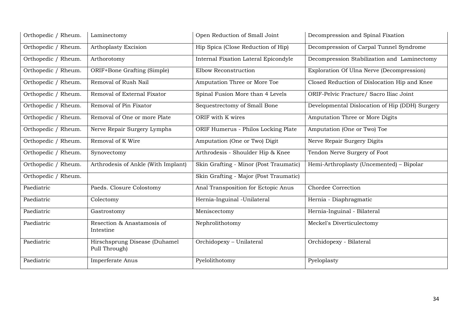| Orthopedic / Rheum. | Laminectomy                                    | Open Reduction of Small Joint          | Decompression and Spinal Fixation              |
|---------------------|------------------------------------------------|----------------------------------------|------------------------------------------------|
| Orthopedic / Rheum. | Arthoplasty Excision                           | Hip Spica (Close Reduction of Hip)     | Decompression of Carpal Tunnel Syndrome        |
| Orthopedic / Rheum. | Arthorotomy                                    | Internal Fixation Lateral Epicondyle   | Decompression Stabilization and Laminectomy    |
| Orthopedic / Rheum. | ORIF+Bone Grafting (Simple)                    | Elbow Reconstruction                   | Exploration Of Ulna Nerve (Decompression)      |
| Orthopedic / Rheum. | Removal of Rush Nail                           | Amputation Three or More Toe           | Closed Reduction of Dislocation Hip and Knee   |
| Orthopedic / Rheum. | Removal of External Fixator                    | Spinal Fusion More than 4 Levels       | ORIF-Pelvic Fracture/ Sacro Iliac Joint        |
| Orthopedic / Rheum. | Removal of Pin Fixator                         | Sequestrectomy of Small Bone           | Developmental Dislocation of Hip (DDH) Surgery |
| Orthopedic / Rheum. | Removal of One or more Plate                   | ORIF with K wires                      | Amputation Three or More Digits                |
| Orthopedic / Rheum. | Nerve Repair Surgery Lymphs                    | ORIF Humerus - Philos Locking Plate    | Amputation (One or Two) Toe                    |
| Orthopedic / Rheum. | Removal of K Wire                              | Amputation (One or Two) Digit          | Nerve Repair Surgery Digits                    |
| Orthopedic / Rheum. | Synovectomy                                    | Arthrodesis - Shoulder Hip & Knee      | Tendon Nerve Surgery of Foot                   |
| Orthopedic / Rheum. | Arthrodesis of Ankle (With Implant)            | Skin Grafting - Minor (Post Traumatic) | Hemi-Arthroplasty (Uncemented) - Bipolar       |
| Orthopedic / Rheum. |                                                | Skin Grafting - Major (Post Traumatic) |                                                |
| Paediatric          | Paeds. Closure Colostomy                       | Anal Transposition for Ectopic Anus    | Chordee Correction                             |
| Paediatric          | Colectomy                                      | Hernia-Inguinal -Unilateral            | Hernia - Diaphragmatic                         |
| Paediatric          | Gastrostomy                                    | Meniscectomy                           | Hernia-Inguinal - Bilateral                    |
| Paediatric          | Resection & Anastamosis of<br>Intestine        | Nephrolithotomy                        | Meckel's Diverticulectomy                      |
| Paediatric          | Hirschsprung Disease (Duhamel<br>Pull Through) | Orchidopexy - Unilateral               | Orchidopexy - Bilateral                        |
| Paediatric          | Imperferate Anus                               | Pyelolithotomy                         | Pyeloplasty                                    |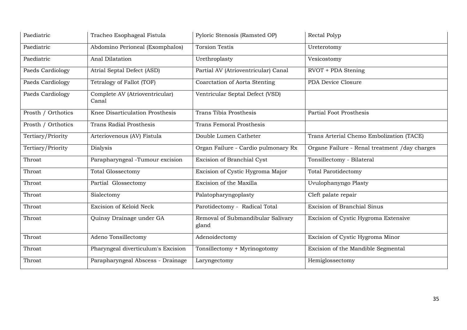| Paediatric         | Tracheo Esophageal Fistula              | Pyloric Stenosis (Ramsted OP)              | Rectal Polyp                                  |
|--------------------|-----------------------------------------|--------------------------------------------|-----------------------------------------------|
| Paediatric         | Abdomino Perioneal (Exomphalos)         | <b>Torsion Testis</b>                      | Ureterotomy                                   |
| Paediatric         | Anal Dilatation                         | Urethroplasty                              | Vesicostomy                                   |
| Paeds Cardiology   | Atrial Septal Defect (ASD)              | Partial AV (Atrioventricular) Canal        | RVOT + PDA Stening                            |
| Paeds Cardiology   | Tetralogy of Fallot (TOF)               | Coarctation of Aorta Stenting              | PDA Device Closure                            |
| Paeds Cardiology   | Complete AV (Atrioventricular)<br>Canal | Ventricular Septal Defect (VSD)            |                                               |
| Prosth / Orthotics | Knee Disarticulation Prosthesis         | Trans Tibia Prosthesis                     | Partial Foot Prosthesis                       |
| Prosth / Orthotics | <b>Trans Radial Prosthesis</b>          | <b>Trans Femoral Prosthesis</b>            |                                               |
| Tertiary/Priority  | Arteriovenous (AV) Fistula              | Double Lumen Catheter                      | Trans Arterial Chemo Embolization (TACE)      |
| Tertiary/Priority  | Dialysis                                | Organ Failure - Cardio pulmonary Rx        | Organe Failure - Renal treatment /day charges |
| Throat             | Parapharyngeal -Tumour excision         | Excision of Branchial Cyst                 | Tonsillectomy - Bilateral                     |
| Throat             | <b>Total Glossectomy</b>                | Excision of Cystic Hygroma Major           | <b>Total Parotidectomy</b>                    |
| Throat             | Partial Glossectomy                     | Excision of the Maxilla                    | Uvulophanyngo Plasty                          |
| Throat             | Sialectomy                              | Palatopharyngoplasty                       | Cleft palate repair                           |
| Throat             | Excision of Keloid Neck                 | Parotidectomy - Radical Total              | <b>Excision of Branchial Sinus</b>            |
| Throat             | Quinsy Drainage under GA                | Removal of Submandibular Salivary<br>gland | Excision of Cystic Hygroma Extensive          |
| Throat             | Adeno Tonsillectomy                     | Adenoidectomy                              | Excision of Cystic Hygroma Minor              |
| Throat             | Pharyngeal diverticulum's Excision      | Tonsillectomy + Myrinogotomy               | Excision of the Mandible Segmental            |
| Throat             | Parapharyngeal Abscess - Drainage       | Laryngectomy                               | Hemiglossectomy                               |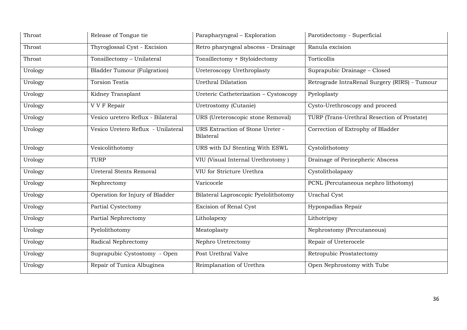| Throat  | Release of Tongue tie              | Parapharyngeal - Exploration                         | Parotidectomy - Superficial                   |
|---------|------------------------------------|------------------------------------------------------|-----------------------------------------------|
| Throat  | Thyroglossal Cyst - Excision       | Retro pharyngeal abscess - Drainage                  | Ranula excision                               |
| Throat  | Tonsillectomy - Unilateral         | Tonsillectomy + Styloidectomy                        | Torticollis                                   |
| Urology | <b>Bladder Tumour (Fulgration)</b> | Ureteroscopy Urethroplasty                           | Suprapubic Drainage - Closed                  |
| Urology | <b>Torsion Testis</b>              | <b>Urethral Dilatation</b>                           | Retrograde IntraRenal Surgery (RIRS) - Tumour |
| Urology | Kidney Transplant                  | Ureteric Catheterization - Cystoscopy                | Pyeloplasty                                   |
| Urology | V V F Repair                       | Uretrostomy (Cutanie)                                | Cysto-Urethroscopy and proceed                |
| Urology | Vesico uretero Reflux - Bilateral  | URS (Ureteroscopic stone Removal)                    | TURP (Trans-Urethral Resection of Prostate)   |
| Urology | Vesico Uretero Reflux - Unilateral | URS Extraction of Stone Ureter -<br><b>Bilateral</b> | Correction of Extrophy of Bladder             |
| Urology | Vesicolithotomy                    | URS with DJ Stenting With ESWL                       | Cystolithotomy                                |
| Urology | <b>TURP</b>                        | VIU (Visual Internal Urethrotomy)                    | Drainage of Perinepheric Abscess              |
| Urology | <b>Ureteral Stents Removal</b>     | VIU for Stricture Urethra                            | Cystolitholapaxy                              |
| Urology | Nephrectomy                        | Varicocele                                           | PCNL (Percutaneous nephro lithotomy)          |
| Urology | Operation for Injury of Bladder    | Bilateral Laproscopic Pyelolithotomy                 | Urachal Cyst                                  |
| Urology | Partial Cystectomy                 | Excision of Renal Cyst                               | Hypospadias Repair                            |
| Urology | Partial Nephrectomy                | Litholapexy                                          | Lithotripsy                                   |
| Urology | Pyelolithotomy                     | Meatoplasty                                          | Nephrostomy (Percutaneous)                    |
| Urology | Radical Nephrectomy                | Nephro Uretrectomy                                   | Repair of Ureterocele                         |
| Urology | Suprapubic Cystostomy - Open       | Post Urethral Valve                                  | Retropubic Prostatectomy                      |
| Urology | Repair of Tunica Albuginea         | Reimplanation of Urethra                             | Open Nephrostomy with Tube                    |